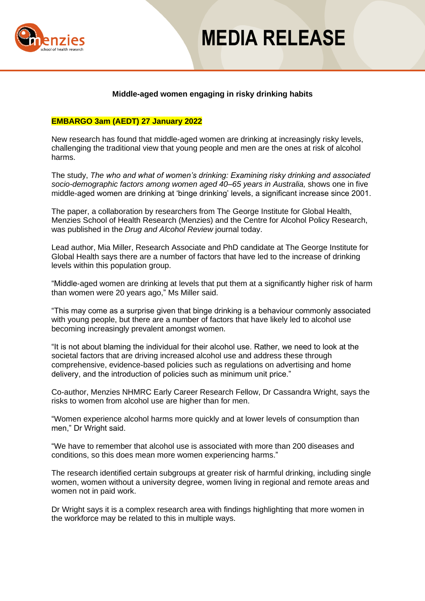

## **MEDIA RELEASE**

## **Middle-aged women engaging in risky drinking habits**

#### **EMBARGO 3am (AEDT) 27 January 2022**

New research has found that middle-aged women are drinking at increasingly risky levels, challenging the traditional view that young people and men are the ones at risk of alcohol harms.

The study, *The who and what of women's drinking: Examining risky drinking and associated socio-demographic factors among women aged 40–65 years in Australia,* shows one in five middle-aged women are drinking at 'binge drinking' levels, a significant increase since 2001.

The paper, a collaboration by researchers from The George Institute for Global Health, Menzies School of Health Research (Menzies) and the Centre for Alcohol Policy Research, was published in the *Drug and Alcohol Review* journal today.

Lead author, Mia Miller, Research Associate and PhD candidate at The George Institute for Global Health says there are a number of factors that have led to the increase of drinking levels within this population group.

"Middle-aged women are drinking at levels that put them at a significantly higher risk of harm than women were 20 years ago," Ms Miller said.

"This may come as a surprise given that binge drinking is a behaviour commonly associated with young people, but there are a number of factors that have likely led to alcohol use becoming increasingly prevalent amongst women.

"It is not about blaming the individual for their alcohol use. Rather, we need to look at the societal factors that are driving increased alcohol use and address these through comprehensive, evidence-based policies such as regulations on advertising and home delivery, and the introduction of policies such as minimum unit price."

Co-author, Menzies NHMRC Early Career Research Fellow, Dr Cassandra Wright, says the risks to women from alcohol use are higher than for men.

"Women experience alcohol harms more quickly and at lower levels of consumption than men," Dr Wright said.

"We have to remember that alcohol use is associated with more than 200 diseases and conditions, so this does mean more women experiencing harms."

The research identified certain subgroups at greater risk of harmful drinking, including single women, women without a university degree, women living in regional and remote areas and women not in paid work.

Dr Wright says it is a complex research area with findings highlighting that more women in the workforce may be related to this in multiple ways.